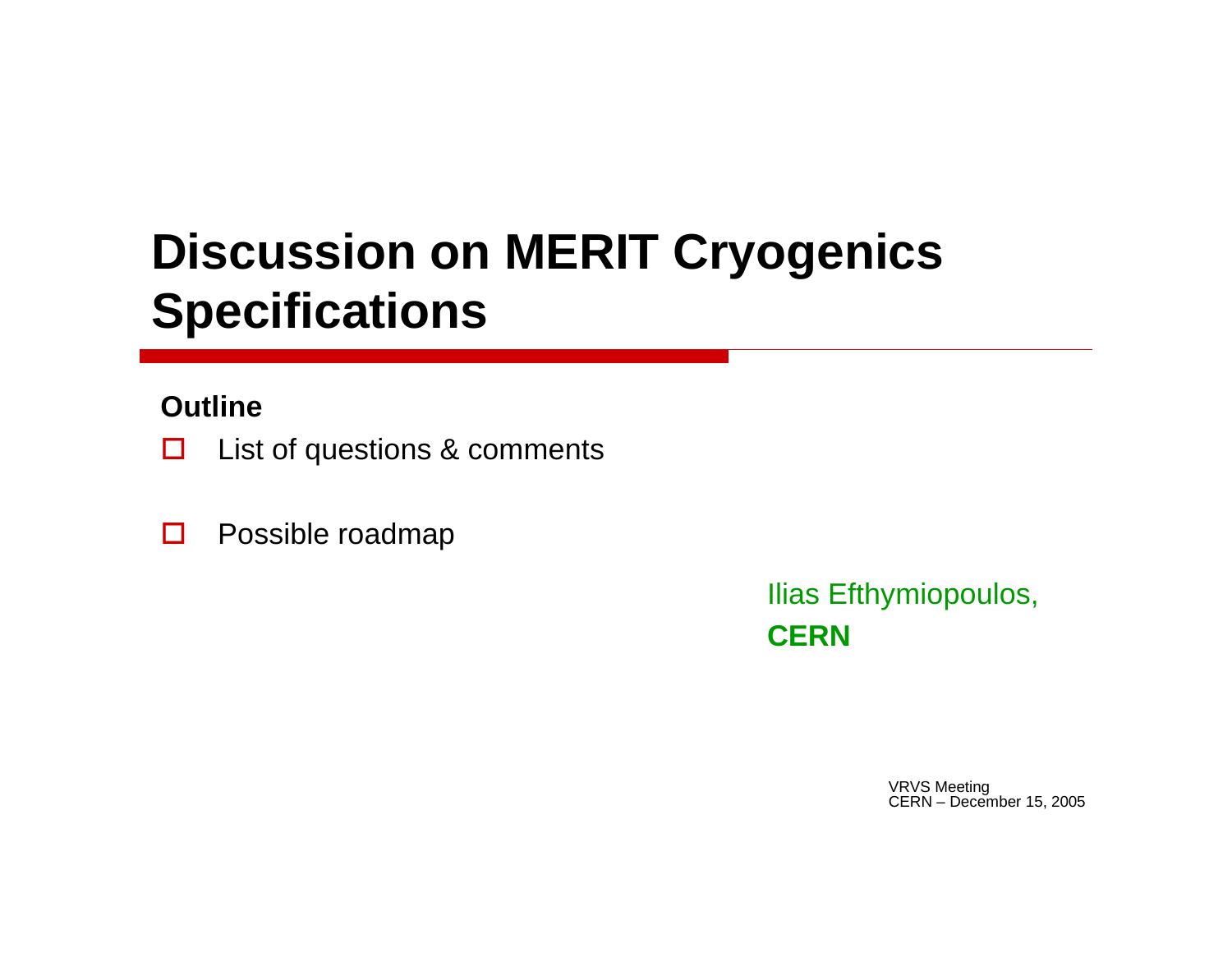# **Discussion on MERIT Cryogenics Specifications**

### **Outline**

- $\Box$ List of questions & comments
- $\Box$ Possible roadmap

Ilias Efthymiopoulos, **CERN**

> VRVS Meeting CERN – December 15, 2005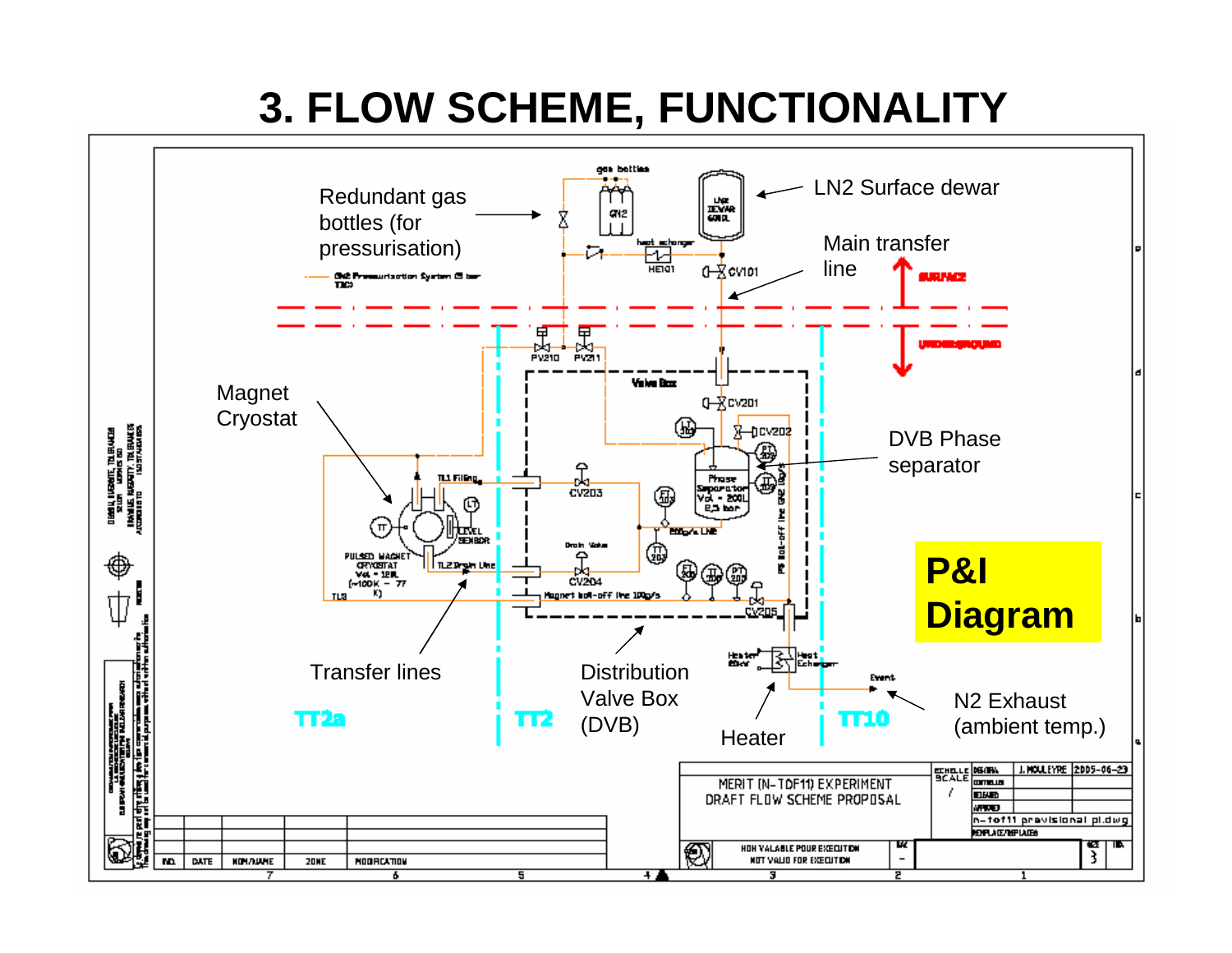# **3. FLOW SCHEME, FUNCTIONALITY**

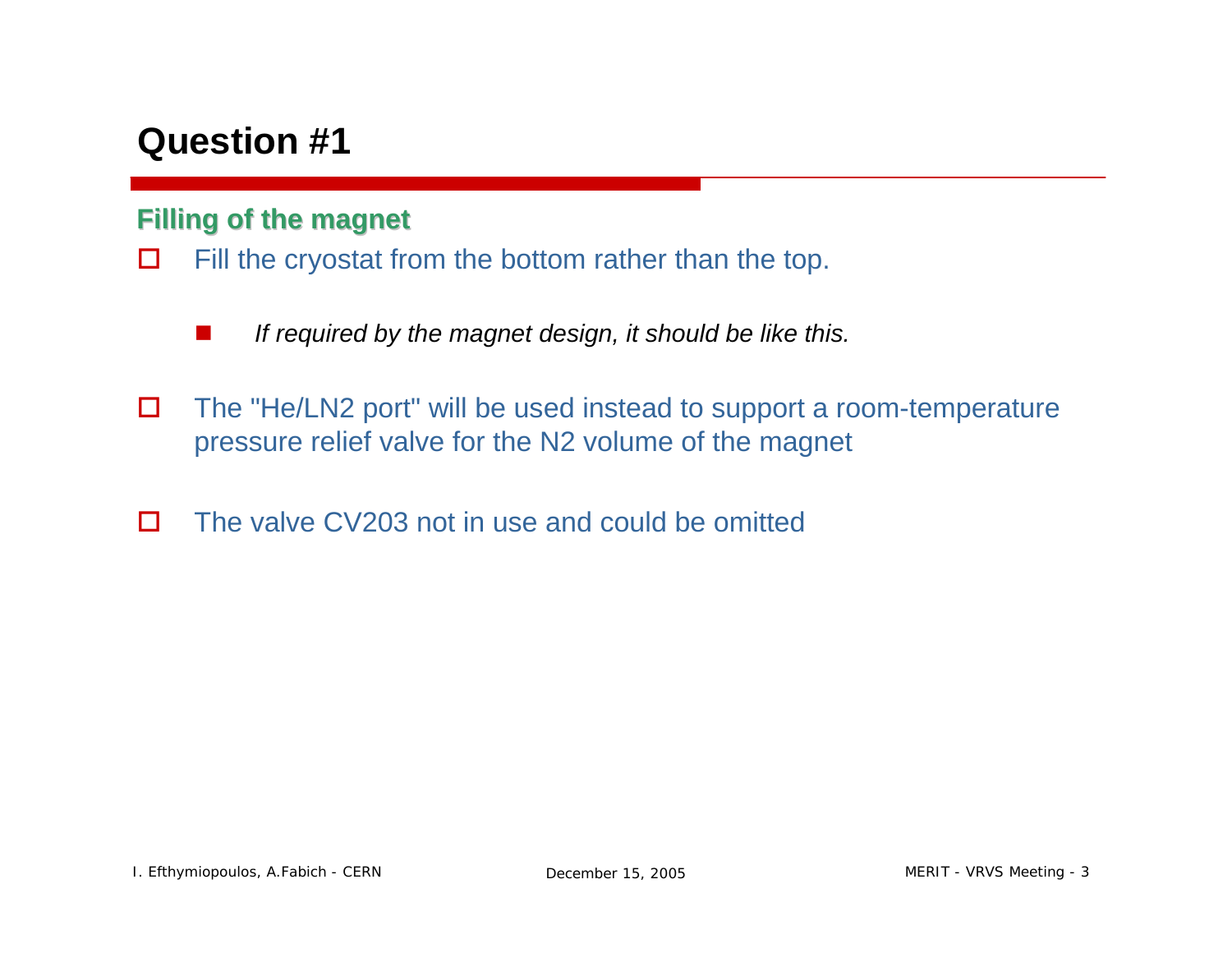### **Filling of the magnet Filling of the magnet**

- $\Box$  Fill the cryostat from the bottom rather than the top.
	- a a s *If required by the magnet design, it should be like this.*
- $\Box$  The "He/LN2 port" will be used instead to support a room-temperature pressure relief valve for the N2 volume of the magnet
- $\Box$ The valve CV203 not in use and could be omitted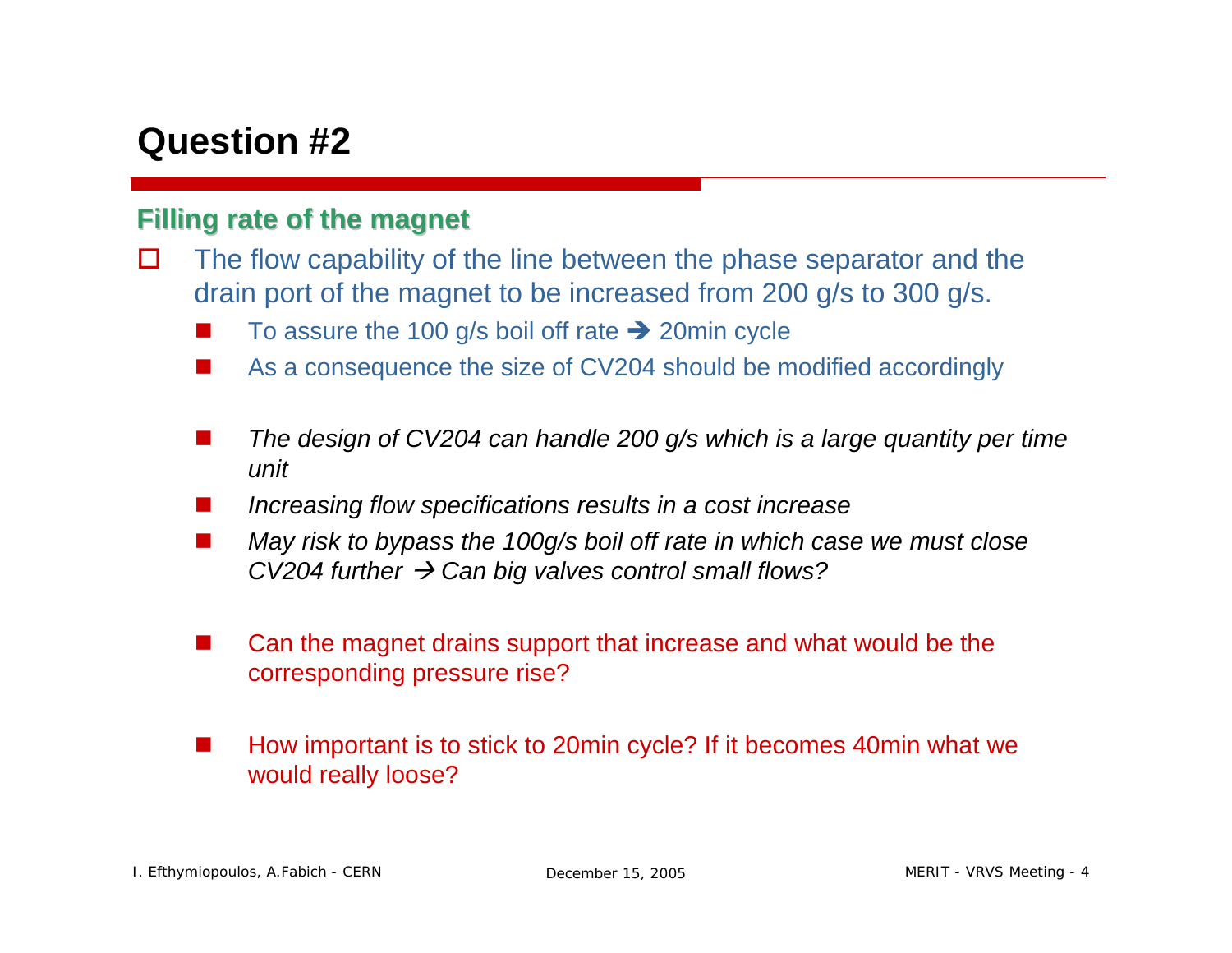#### **Filling rate of the magnet Filling rate of the magnet**

- $\Box$  The flow capability of the line between the phase separator and the drain port of the magnet to be increased from 200 g/s to 300 g/s.
	- **In** To assure the 100 g/s boil off rate  $\rightarrow$  20min cycle
	- **I** As a consequence the size of CV204 should be modified accordingly
	- **I**  *The design of CV204 can handle 200 g/s which is a large quantity per time unit*
	- **I** *Increasing flow specifications results in a cost increase*
	- **START**  *May risk to bypass the 100g/s boil off rate in which case we must close CV204 further* Æ *Can big valves control small flows?*
	- $\overline{\phantom{a}}$  Can the magnet drains support that increase and what would be the corresponding pressure rise?
	- $\overline{\phantom{a}}$  How important is to stick to 20min cycle? If it becomes 40min what we would really loose?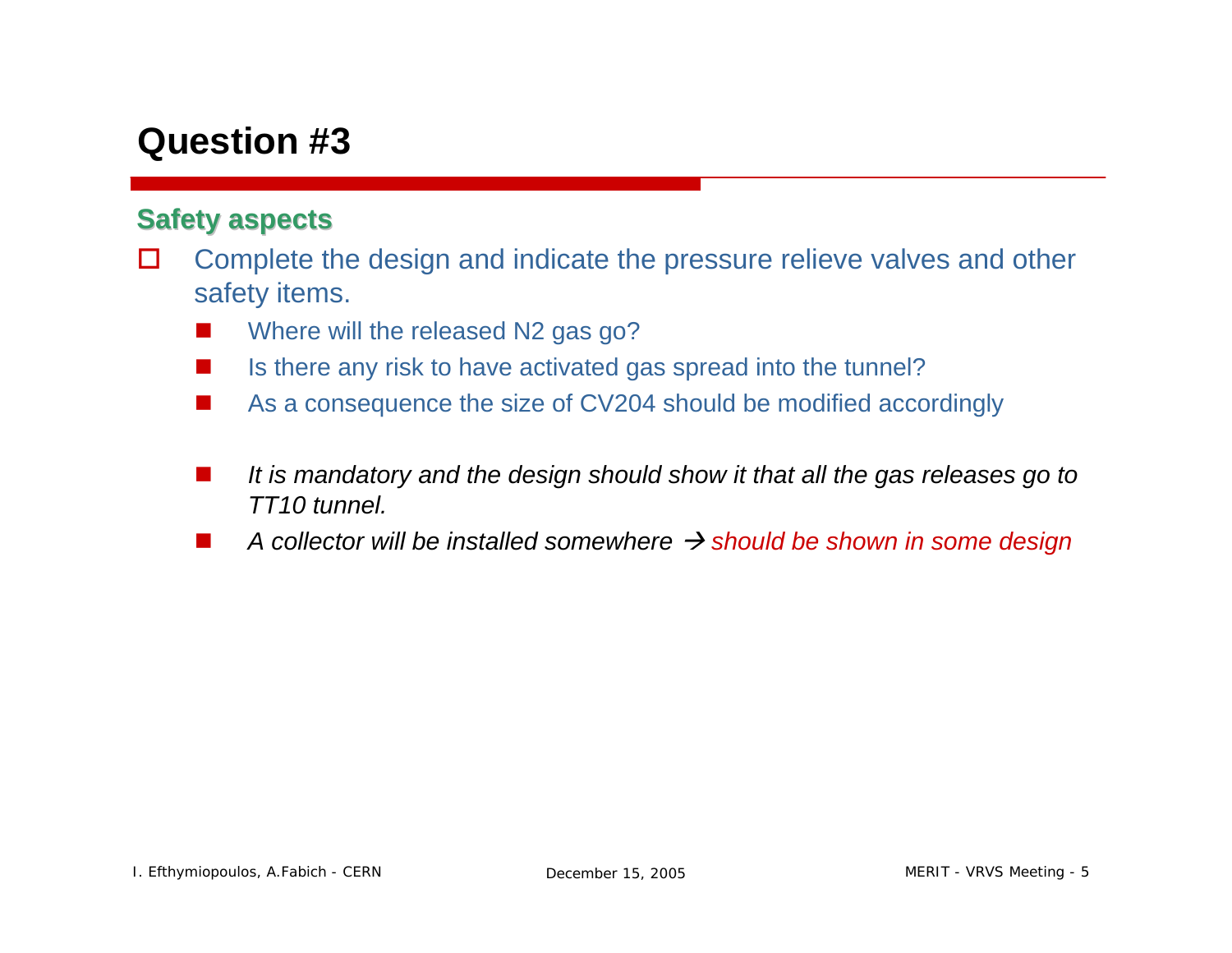#### **Safety aspects Safety aspects**

- $\Box$  Complete the design and indicate the pressure relieve valves and other safety items.
	- **The Contract of the Contract of the Contract of the Contract of the Contract of the Contract of the Contract o** Where will the released N2 gas go?
	- **The Contract of the Contract of the Contract of the Contract of the Contract of the Contract of the Contract o** Is there any risk to have activated gas spread into the tunnel?
	- **START** As a consequence the size of CV204 should be modified accordingly
	- **START**  *It is mandatory and the design should show it that all the gas releases go to TT10 tunnel.*
	- T. **■** A collector will be installed somewhere  $\rightarrow$  should be shown in some design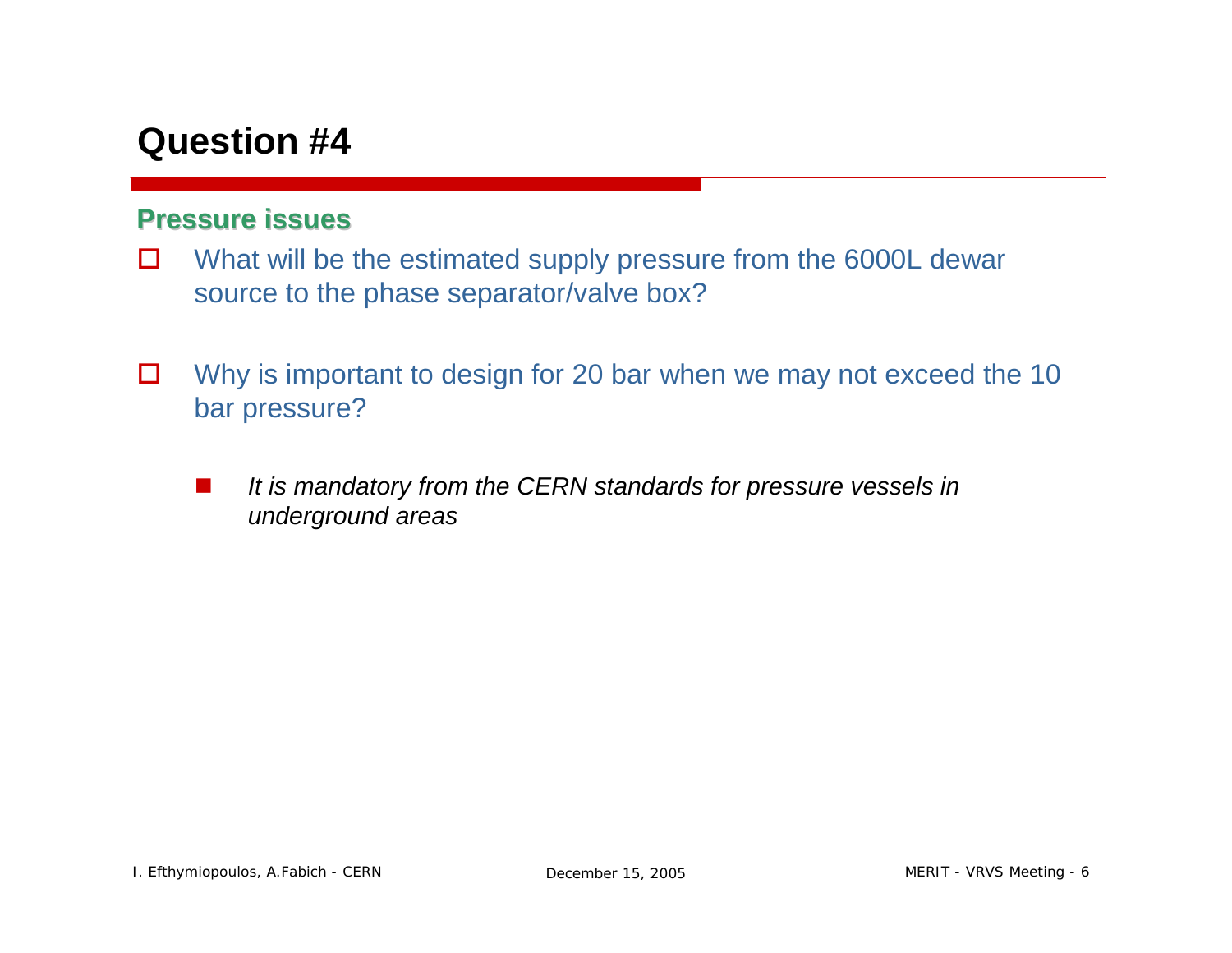#### **Pressure issues Pressure issues**

- $\Box$  What will be the estimated supply pressure from the 6000L dewar source to the phase separator/valve box?
- $\Box$  Why is important to design for 20 bar when we may not exceed the 10 bar pressure?
	- **START**  *It is mandatory from the CERN standards for pressure vessels in underground areas*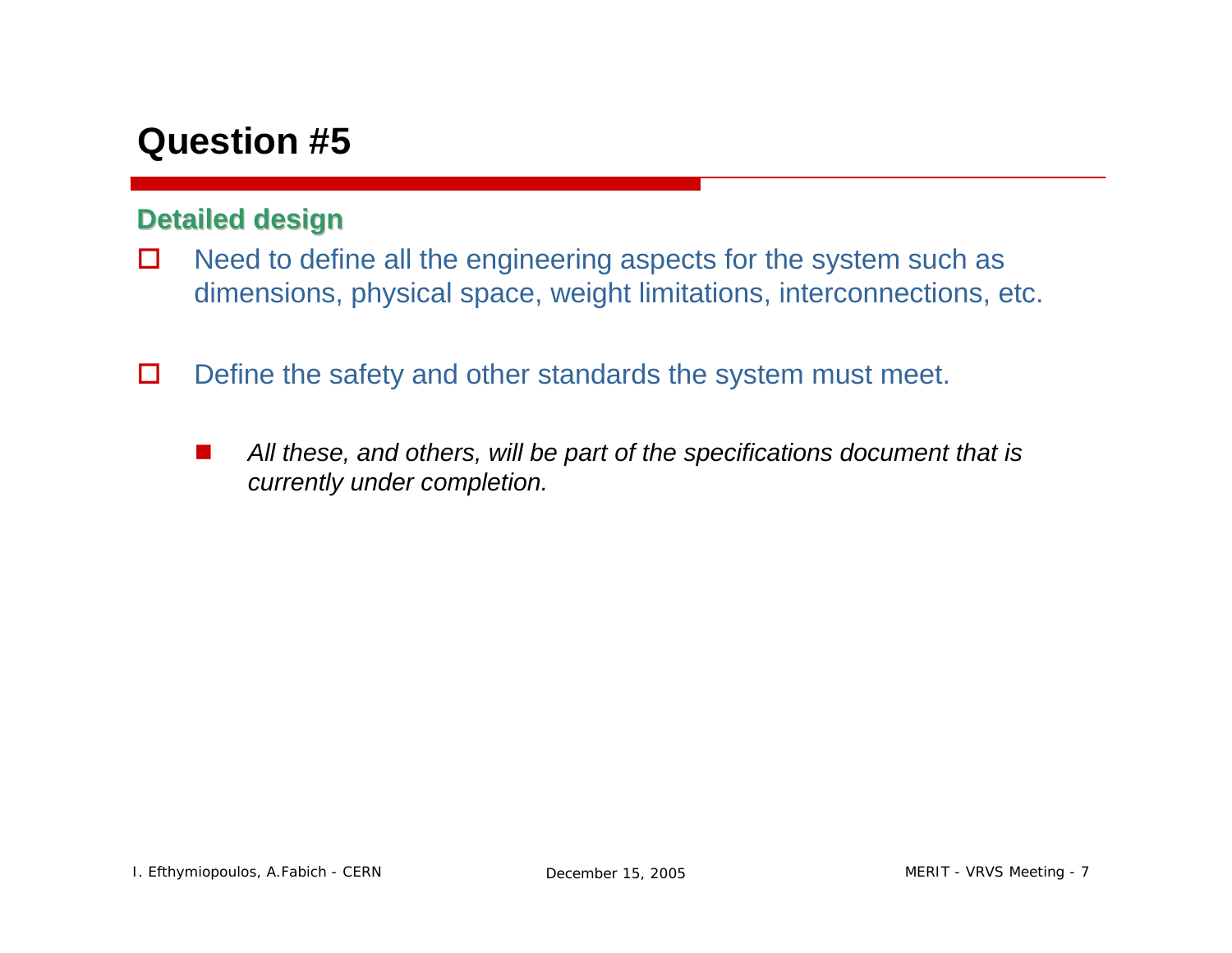#### **Detailed design Detailed design**

- $\Box$  Need to define all the engineering aspects for the system such as dimensions, physical space, weight limitations, interconnections, etc.
- $\Box$  Define the safety and other standards the system must meet.
	- **The Contract of the Contract of the Contract of the Contract of the Contract of the Contract of the Contract o**  *All these, and others, will be part of the specifications document that is currently under completion.*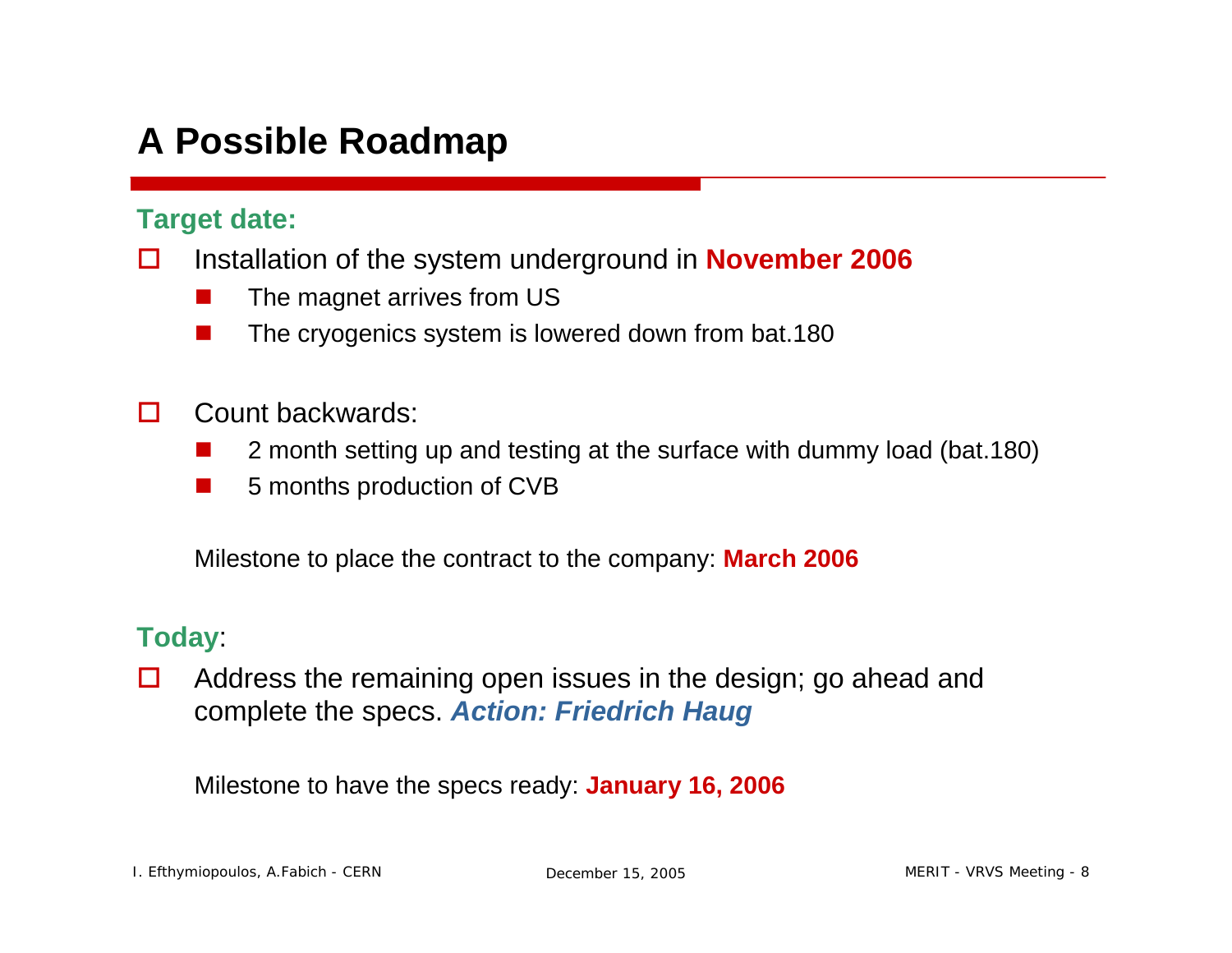## **A Possible Roadmap**

#### **Target date:**

- $\Box$  Installation of the system underground in **November 2006**
	- a a s The magnet arrives from US
	- ш The cryogenics system is lowered down from bat.180
- $\Box$  Count backwards:
	- $\overline{\phantom{a}}$ 2 month setting up and testing at the surface with dummy load (bat.180)
	- m. 5 months production of CVB

Milestone to place the contract to the company: **March 2006**

#### **Today**:

 $\Box$  Address the remaining open issues in the design; go ahead and complete the specs. *Action: Friedrich Haug*

Milestone to have the specs ready: **January 16, 2006**